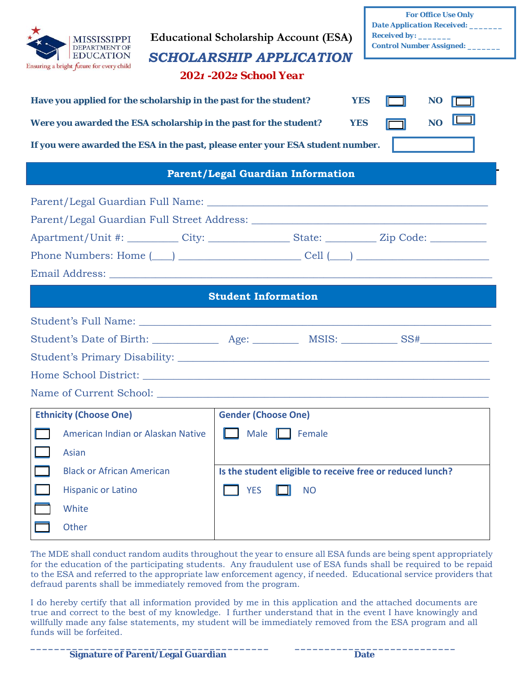| <b>For Office Use Only</b><br><b>Date Application Received:</b> _______<br><b>Educational Scholarship Account (ESA)</b><br><b>MISSISSIPPI</b><br><b>Control Number Assigned:</b> _______<br><b>DEPARTMENT OF</b><br><b>EDUCATION</b><br><b>SCHOLARSHIP APPLICATION</b><br>Ensuring a bright future for every child<br>2021 - 2022 School Year<br>Have you applied for the scholarship in the past for the student?<br><b>YES</b><br><b>NO</b><br>NO.<br>Were you awarded the ESA scholarship in the past for the student?<br><b>YES</b><br>If you were awarded the ESA in the past, please enter your ESA student number. |                                                                                                                                           |  |  |  |  |  |
|---------------------------------------------------------------------------------------------------------------------------------------------------------------------------------------------------------------------------------------------------------------------------------------------------------------------------------------------------------------------------------------------------------------------------------------------------------------------------------------------------------------------------------------------------------------------------------------------------------------------------|-------------------------------------------------------------------------------------------------------------------------------------------|--|--|--|--|--|
| <b>Parent/Legal Guardian Information</b>                                                                                                                                                                                                                                                                                                                                                                                                                                                                                                                                                                                  |                                                                                                                                           |  |  |  |  |  |
| Phone Numbers: Home $(\_\_)$ $\_\_$                                                                                                                                                                                                                                                                                                                                                                                                                                                                                                                                                                                       |                                                                                                                                           |  |  |  |  |  |
| <b>Student Information</b>                                                                                                                                                                                                                                                                                                                                                                                                                                                                                                                                                                                                |                                                                                                                                           |  |  |  |  |  |
|                                                                                                                                                                                                                                                                                                                                                                                                                                                                                                                                                                                                                           |                                                                                                                                           |  |  |  |  |  |
| Name of Current School:                                                                                                                                                                                                                                                                                                                                                                                                                                                                                                                                                                                                   |                                                                                                                                           |  |  |  |  |  |
| <b>Ethnicity (Choose One)</b><br>American Indian or Alaskan Native<br>Asian<br><b>Black or African American</b><br><b>Hispanic or Latino</b><br>White<br>Other                                                                                                                                                                                                                                                                                                                                                                                                                                                            | <b>Gender (Choose One)</b><br>Male<br>Female<br>ш<br>Is the student eligible to receive free or reduced lunch?<br><b>YES</b><br><b>NO</b> |  |  |  |  |  |

The MDE shall conduct random audits throughout the year to ensure all ESA funds are being spent appropriately for the education of the participating students. Any fraudulent use of ESA funds shall be required to be repaid to the ESA and referred to the appropriate law enforcement agency, if needed. Educational service providers that defraud parents shall be immediately removed from the program.

I do hereby certify that all information provided by me in this application and the attached documents are true and correct to the best of my knowledge. I further understand that in the event I have knowingly and willfully made any false statements, my student will be immediately removed from the ESA program and all funds will be forfeited.

**\_\_\_\_\_\_\_\_\_\_\_\_\_\_\_\_\_\_\_\_\_\_\_\_\_\_\_\_\_\_\_\_\_\_\_\_\_\_\_\_ \_\_\_\_\_\_\_\_\_\_\_\_\_\_\_\_\_\_\_\_\_\_\_\_\_\_\_**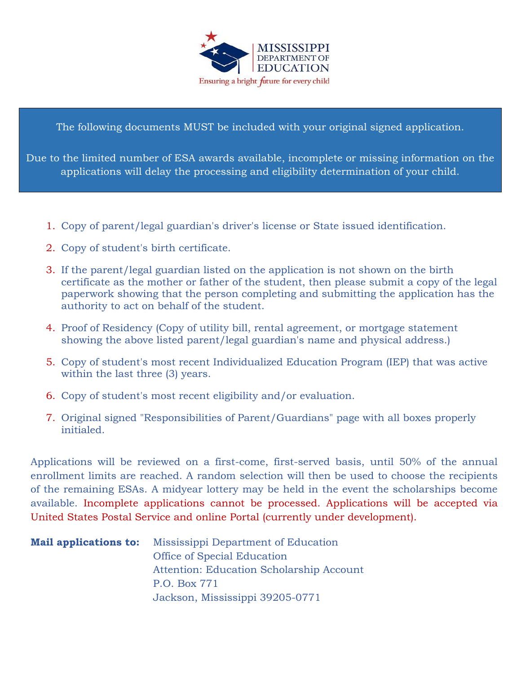

The following documents MUST be included with your original signed application.

Due to the limited number of ESA awards available, incomplete or missing information on the applications will delay the processing and eligibility determination of your child.

- 1. Copy of parent/legal guardian's driver's license or State issued identification.
- 2. Copy of student's birth certificate.
- 3. If the parent/legal guardian listed on the application is not shown on the birth certificate as the mother or father of the student, then please submit a copy of the legal paperwork showing that the person completing and submitting the application has the authority to act on behalf of the student.
- 4. Proof of Residency (Copy of utility bill, rental agreement, or mortgage statement showing the above listed parent/legal guardian's name and physical address.)
- 5. Copy of student's most recent Individualized Education Program (IEP) that was active within the last three (3) years.
- 6. Copy of student's most recent eligibility and/or evaluation.
- 7. Original signed "Responsibilities of Parent/Guardians" page with all boxes properly initialed.

Applications will be reviewed on a first-come, first-served basis, until 50% of the annual enrollment limits are reached. A random selection will then be used to choose the recipients of the remaining ESAs. A midyear lottery may be held in the event the scholarships become available. Incomplete applications cannot be processed. Applications will be accepted via United States Postal Service and online Portal (currently under development).

| <b>Mail applications to:</b> Mississippi Department of Education |  |  |
|------------------------------------------------------------------|--|--|
| <b>Office of Special Education</b>                               |  |  |
| Attention: Education Scholarship Account                         |  |  |
| P.O. Box 771                                                     |  |  |
| Jackson, Mississippi 39205-0771                                  |  |  |